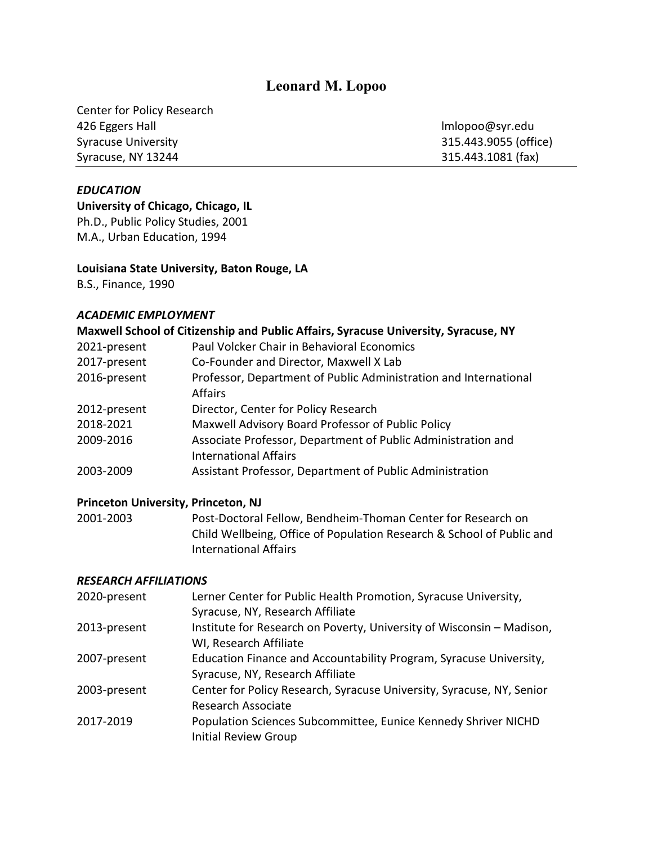# **Leonard M. Lopoo**

Center for Policy Research 426 Eggers Hall lmlopoo@syr.edu Syracuse University 315.443.9055 (office) Syracuse, NY 13244 315.443.1081 (fax)

### *EDUCATION*

**University of Chicago, Chicago, IL** Ph.D., Public Policy Studies, 2001 M.A., Urban Education, 1994

### **Louisiana State University, Baton Rouge, LA**

B.S., Finance, 1990

### *ACADEMIC EMPLOYMENT*

## **Maxwell School of Citizenship and Public Affairs, Syracuse University, Syracuse, NY**

| Paul Volcker Chair in Behavioral Economics                       |
|------------------------------------------------------------------|
| Co-Founder and Director, Maxwell X Lab                           |
| Professor, Department of Public Administration and International |
| Affairs                                                          |
| Director, Center for Policy Research                             |
| Maxwell Advisory Board Professor of Public Policy                |
| Associate Professor, Department of Public Administration and     |
| <b>International Affairs</b>                                     |
| Assistant Professor, Department of Public Administration         |
|                                                                  |

#### **Princeton University, Princeton, NJ**

2001-2003 Post-Doctoral Fellow, Bendheim-Thoman Center for Research on Child Wellbeing, Office of Population Research & School of Public and International Affairs

#### *RESEARCH AFFILIATIONS*

| 2020-present | Lerner Center for Public Health Promotion, Syracuse University,       |
|--------------|-----------------------------------------------------------------------|
|              | Syracuse, NY, Research Affiliate                                      |
| 2013-present | Institute for Research on Poverty, University of Wisconsin - Madison, |
|              | WI, Research Affiliate                                                |
| 2007-present | Education Finance and Accountability Program, Syracuse University,    |
|              | Syracuse, NY, Research Affiliate                                      |
| 2003-present | Center for Policy Research, Syracuse University, Syracuse, NY, Senior |
|              | <b>Research Associate</b>                                             |
| 2017-2019    | Population Sciences Subcommittee, Eunice Kennedy Shriver NICHD        |
|              | <b>Initial Review Group</b>                                           |
|              |                                                                       |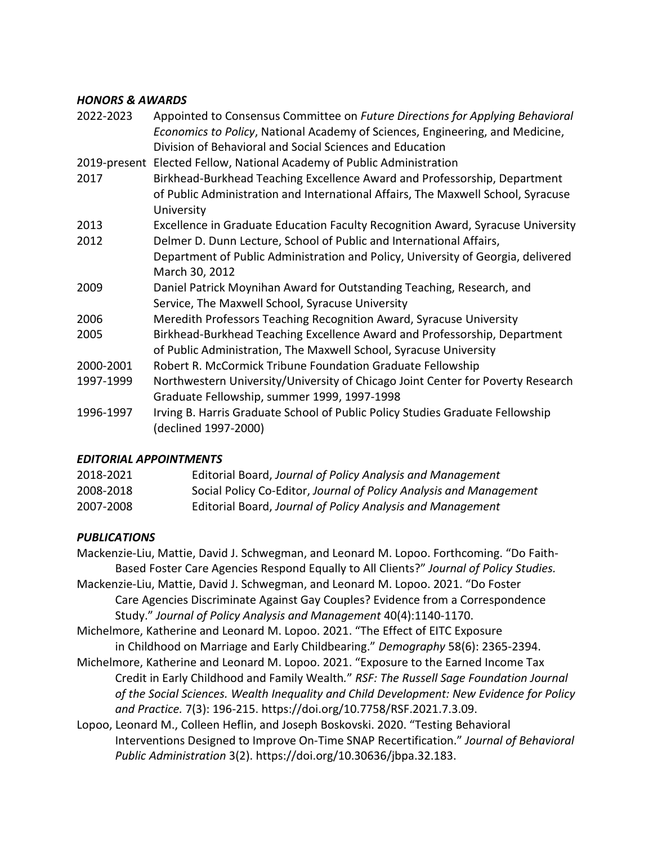## *HONORS & AWARDS*

| Appointed to Consensus Committee on Future Directions for Applying Behavioral                         |
|-------------------------------------------------------------------------------------------------------|
| Economics to Policy, National Academy of Sciences, Engineering, and Medicine,                         |
| Division of Behavioral and Social Sciences and Education                                              |
| 2019-present Elected Fellow, National Academy of Public Administration                                |
| Birkhead-Burkhead Teaching Excellence Award and Professorship, Department                             |
| of Public Administration and International Affairs, The Maxwell School, Syracuse<br>University        |
| Excellence in Graduate Education Faculty Recognition Award, Syracuse University                       |
| Delmer D. Dunn Lecture, School of Public and International Affairs,                                   |
| Department of Public Administration and Policy, University of Georgia, delivered                      |
| March 30, 2012                                                                                        |
| Daniel Patrick Moynihan Award for Outstanding Teaching, Research, and                                 |
| Service, The Maxwell School, Syracuse University                                                      |
| Meredith Professors Teaching Recognition Award, Syracuse University                                   |
| Birkhead-Burkhead Teaching Excellence Award and Professorship, Department                             |
| of Public Administration, The Maxwell School, Syracuse University                                     |
| Robert R. McCormick Tribune Foundation Graduate Fellowship                                            |
| Northwestern University/University of Chicago Joint Center for Poverty Research                       |
| Graduate Fellowship, summer 1999, 1997-1998                                                           |
| Irving B. Harris Graduate School of Public Policy Studies Graduate Fellowship<br>(declined 1997-2000) |
|                                                                                                       |

## *EDITORIAL APPOINTMENTS*

| 2018-2021 | Editorial Board, Journal of Policy Analysis and Management         |
|-----------|--------------------------------------------------------------------|
| 2008-2018 | Social Policy Co-Editor, Journal of Policy Analysis and Management |
| 2007-2008 | Editorial Board, Journal of Policy Analysis and Management         |

# *PUBLICATIONS*

Mackenzie-Liu, Mattie, David J. Schwegman, and Leonard M. Lopoo. Forthcoming. "Do Faith-Based Foster Care Agencies Respond Equally to All Clients?" *Journal of Policy Studies.* Mackenzie-Liu, Mattie, David J. Schwegman, and Leonard M. Lopoo. 2021. "Do Foster Care Agencies Discriminate Against Gay Couples? Evidence from a Correspondence Study." *Journal of Policy Analysis and Management* 40(4):1140-1170.

Michelmore, Katherine and Leonard M. Lopoo. 2021. "The Effect of EITC Exposure in Childhood on Marriage and Early Childbearing." *Demography* 58(6): 2365-2394.

- Michelmore, Katherine and Leonard M. Lopoo. 2021. "Exposure to the Earned Income Tax Credit in Early Childhood and Family Wealth*.*" *RSF: The Russell Sage Foundation Journal of the Social Sciences. Wealth Inequality and Child Development: New Evidence for Policy and Practice.* 7(3): 196-215. https://doi.org/10.7758/RSF.2021.7.3.09.
- Lopoo, Leonard M., Colleen Heflin, and Joseph Boskovski. 2020. "Testing Behavioral Interventions Designed to Improve On-Time SNAP Recertification." *Journal of Behavioral Public Administration* 3(2). https://doi.org/10.30636/jbpa.32.183.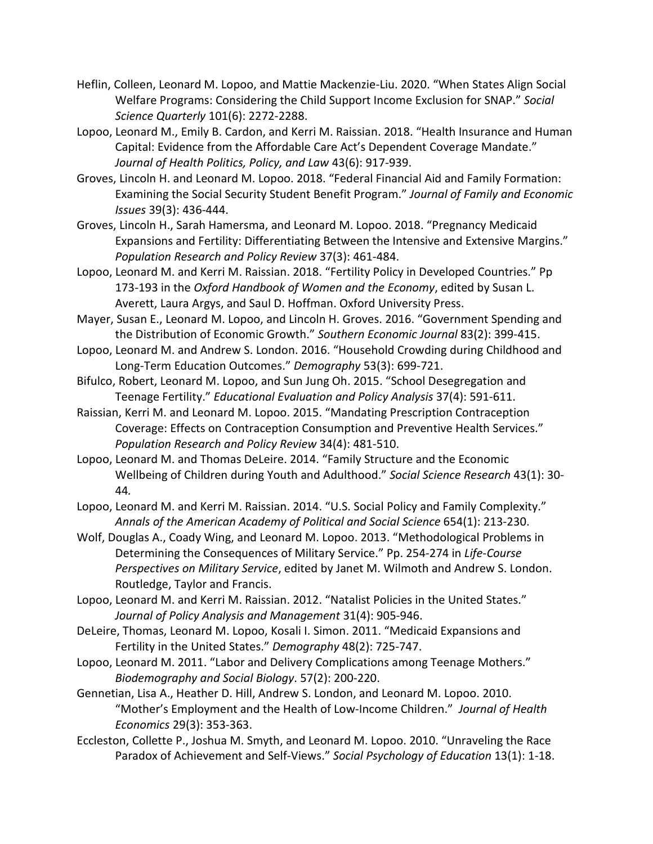- Heflin, Colleen, Leonard M. Lopoo, and Mattie Mackenzie-Liu. 2020. "When States Align Social Welfare Programs: Considering the Child Support Income Exclusion for SNAP." *Social Science Quarterly* 101(6): 2272-2288.
- Lopoo, Leonard M., Emily B. Cardon, and Kerri M. Raissian. 2018. "Health Insurance and Human Capital: Evidence from the Affordable Care Act's Dependent Coverage Mandate." *Journal of Health Politics, Policy, and Law* 43(6): 917-939.
- Groves, Lincoln H. and Leonard M. Lopoo. 2018. "Federal Financial Aid and Family Formation: Examining the Social Security Student Benefit Program." *Journal of Family and Economic Issues* 39(3): 436-444.
- Groves, Lincoln H., Sarah Hamersma, and Leonard M. Lopoo. 2018. "Pregnancy Medicaid Expansions and Fertility: Differentiating Between the Intensive and Extensive Margins." *Population Research and Policy Review* 37(3): 461-484.
- Lopoo, Leonard M. and Kerri M. Raissian. 2018. "Fertility Policy in Developed Countries." Pp 173-193 in the *Oxford Handbook of Women and the Economy*, edited by Susan L. Averett, Laura Argys, and Saul D. Hoffman. Oxford University Press.
- Mayer, Susan E., Leonard M. Lopoo, and Lincoln H. Groves. 2016. "Government Spending and the Distribution of Economic Growth." *Southern Economic Journal* 83(2): 399-415.
- Lopoo, Leonard M. and Andrew S. London. 2016. "Household Crowding during Childhood and Long-Term Education Outcomes." *Demography* 53(3): 699-721.
- Bifulco, Robert, Leonard M. Lopoo, and Sun Jung Oh. 2015. "School Desegregation and Teenage Fertility." *Educational Evaluation and Policy Analysis* 37(4): 591-611.
- Raissian, Kerri M. and Leonard M. Lopoo. 2015. "Mandating Prescription Contraception Coverage: Effects on Contraception Consumption and Preventive Health Services." *Population Research and Policy Review* 34(4): 481-510.
- Lopoo, Leonard M. and Thomas DeLeire. 2014. "Family Structure and the Economic Wellbeing of Children during Youth and Adulthood." *Social Science Research* 43(1): 30- 44*.*
- Lopoo, Leonard M. and Kerri M. Raissian. 2014. "U.S. Social Policy and Family Complexity." *Annals of the American Academy of Political and Social Science* 654(1): 213-230.
- Wolf, Douglas A., Coady Wing, and Leonard M. Lopoo. 2013. "Methodological Problems in Determining the Consequences of Military Service." Pp. 254-274 in *Life-Course Perspectives on Military Service*, edited by Janet M. Wilmoth and Andrew S. London. Routledge, Taylor and Francis.
- Lopoo, Leonard M. and Kerri M. Raissian. 2012. "Natalist Policies in the United States." *Journal of Policy Analysis and Management* 31(4): 905-946.
- DeLeire, Thomas, Leonard M. Lopoo, Kosali I. Simon. 2011. "Medicaid Expansions and Fertility in the United States." *Demography* 48(2): 725-747.
- Lopoo, Leonard M. 2011. "Labor and Delivery Complications among Teenage Mothers." *Biodemography and Social Biology*. 57(2): 200-220.
- Gennetian, Lisa A., Heather D. Hill, Andrew S. London, and Leonard M. Lopoo. 2010. "Mother's Employment and the Health of Low-Income Children." *Journal of Health Economics* 29(3): 353-363.
- Eccleston, Collette P., Joshua M. Smyth, and Leonard M. Lopoo. 2010. "Unraveling the Race Paradox of Achievement and Self-Views." *Social Psychology of Education* 13(1): 1-18.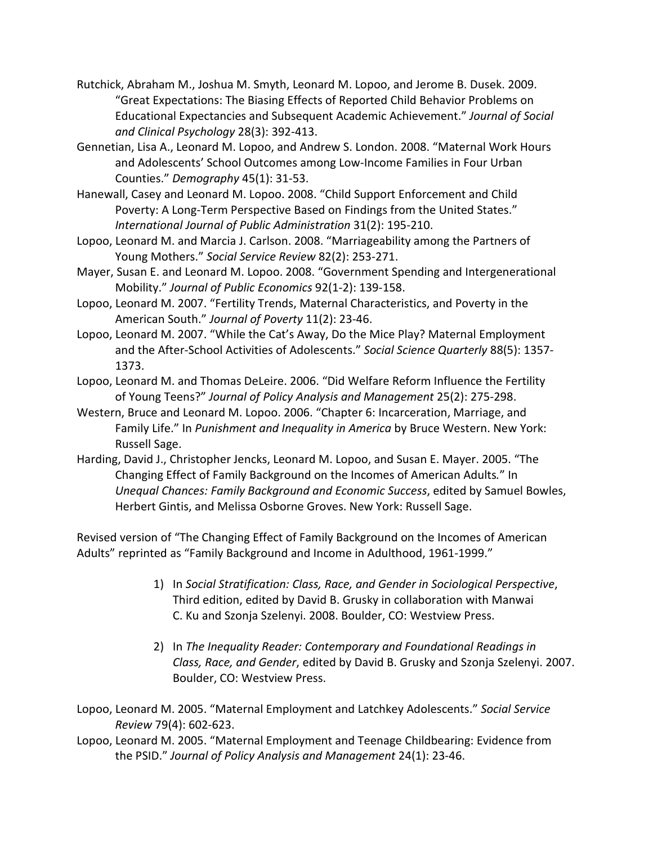- Rutchick, Abraham M., Joshua M. Smyth, Leonard M. Lopoo, and Jerome B. Dusek. 2009. "Great Expectations: The Biasing Effects of Reported Child Behavior Problems on Educational Expectancies and Subsequent Academic Achievement." *Journal of Social and Clinical Psychology* 28(3): 392-413.
- Gennetian, Lisa A., Leonard M. Lopoo, and Andrew S. London. 2008. "Maternal Work Hours and Adolescents' School Outcomes among Low-Income Families in Four Urban Counties." *Demography* 45(1): 31-53.
- Hanewall, Casey and Leonard M. Lopoo. 2008. "Child Support Enforcement and Child Poverty: A Long-Term Perspective Based on Findings from the United States." *International Journal of Public Administration* 31(2): 195-210.
- Lopoo, Leonard M. and Marcia J. Carlson. 2008. "Marriageability among the Partners of Young Mothers." *Social Service Review* 82(2): 253-271.
- Mayer, Susan E. and Leonard M. Lopoo. 2008. "Government Spending and Intergenerational Mobility." *Journal of Public Economics* 92(1-2): 139-158.
- Lopoo, Leonard M. 2007. "Fertility Trends, Maternal Characteristics, and Poverty in the American South." *Journal of Poverty* 11(2): 23-46.
- Lopoo, Leonard M. 2007. "While the Cat's Away, Do the Mice Play? Maternal Employment and the After-School Activities of Adolescents." *Social Science Quarterly* 88(5): 1357- 1373.
- Lopoo, Leonard M. and Thomas DeLeire. 2006. "Did Welfare Reform Influence the Fertility of Young Teens?" *Journal of Policy Analysis and Management* 25(2): 275-298.
- Western, Bruce and Leonard M. Lopoo. 2006. "Chapter 6: Incarceration, Marriage, and Family Life." In *Punishment and Inequality in America* by Bruce Western. New York: Russell Sage.
- Harding, David J., Christopher Jencks, Leonard M. Lopoo, and Susan E. Mayer. 2005. "The Changing Effect of Family Background on the Incomes of American Adults*.*" In *Unequal Chances: Family Background and Economic Success*, edited by Samuel Bowles, Herbert Gintis, and Melissa Osborne Groves. New York: Russell Sage.

Revised version of "The Changing Effect of Family Background on the Incomes of American Adults" reprinted as "Family Background and Income in Adulthood, 1961-1999."

- 1) In *Social Stratification: Class, Race, and Gender in Sociological Perspective*, Third edition, edited by David B. Grusky in collaboration with Manwai C. Ku and Szonja Szelenyi. 2008. Boulder, CO: Westview Press.
- 2) In *The Inequality Reader: Contemporary and Foundational Readings in Class, Race, and Gender*, edited by David B. Grusky and Szonja Szelenyi. 2007. Boulder, CO: Westview Press.

Lopoo, Leonard M. 2005. "Maternal Employment and Latchkey Adolescents." *Social Service Review* 79(4): 602-623.

Lopoo, Leonard M. 2005. "Maternal Employment and Teenage Childbearing: Evidence from the PSID." *Journal of Policy Analysis and Management* 24(1): 23-46.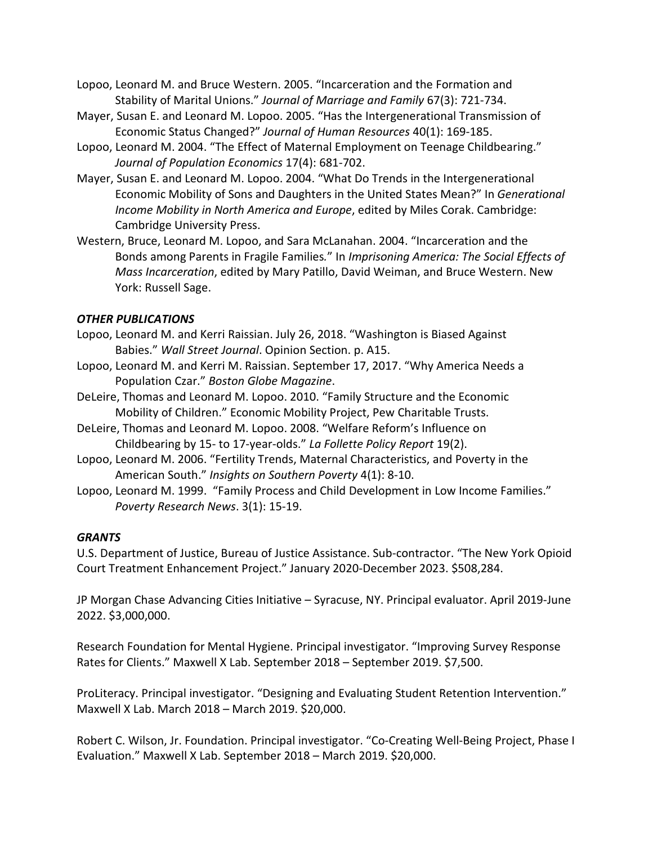- Lopoo, Leonard M. and Bruce Western. 2005. "Incarceration and the Formation and Stability of Marital Unions." *Journal of Marriage and Family* 67(3): 721-734.
- Mayer, Susan E. and Leonard M. Lopoo. 2005. "Has the Intergenerational Transmission of Economic Status Changed?" *Journal of Human Resources* 40(1): 169-185.
- Lopoo, Leonard M. 2004. "The Effect of Maternal Employment on Teenage Childbearing." *Journal of Population Economics* 17(4): 681-702.
- Mayer, Susan E. and Leonard M. Lopoo. 2004. "What Do Trends in the Intergenerational Economic Mobility of Sons and Daughters in the United States Mean?" In *Generational Income Mobility in North America and Europe*, edited by Miles Corak. Cambridge: Cambridge University Press.
- Western, Bruce, Leonard M. Lopoo, and Sara McLanahan. 2004. "Incarceration and the Bonds among Parents in Fragile Families*.*" In *Imprisoning America: The Social Effects of Mass Incarceration*, edited by Mary Patillo, David Weiman, and Bruce Western. New York: Russell Sage.

## *OTHER PUBLICATIONS*

- Lopoo, Leonard M. and Kerri Raissian. July 26, 2018. "Washington is Biased Against Babies." *Wall Street Journal*. Opinion Section. p. A15.
- Lopoo, Leonard M. and Kerri M. Raissian. September 17, 2017. "Why America Needs a Population Czar." *Boston Globe Magazine*.
- DeLeire, Thomas and Leonard M. Lopoo. 2010. "Family Structure and the Economic Mobility of Children." Economic Mobility Project, Pew Charitable Trusts.
- DeLeire, Thomas and Leonard M. Lopoo. 2008. "Welfare Reform's Influence on Childbearing by 15- to 17-year-olds." *La Follette Policy Report* 19(2).
- Lopoo, Leonard M. 2006. "Fertility Trends, Maternal Characteristics, and Poverty in the American South." *Insights on Southern Poverty* 4(1): 8-10.
- Lopoo, Leonard M. 1999. "Family Process and Child Development in Low Income Families." *Poverty Research News*. 3(1): 15-19.

## *GRANTS*

U.S. Department of Justice, Bureau of Justice Assistance. Sub-contractor. "The New York Opioid Court Treatment Enhancement Project." January 2020-December 2023. \$508,284.

JP Morgan Chase Advancing Cities Initiative – Syracuse, NY. Principal evaluator. April 2019-June 2022. \$3,000,000.

Research Foundation for Mental Hygiene. Principal investigator. "Improving Survey Response Rates for Clients." Maxwell X Lab. September 2018 – September 2019. \$7,500.

ProLiteracy. Principal investigator. "Designing and Evaluating Student Retention Intervention." Maxwell X Lab. March 2018 – March 2019. \$20,000.

Robert C. Wilson, Jr. Foundation. Principal investigator. "Co-Creating Well-Being Project, Phase I Evaluation." Maxwell X Lab. September 2018 – March 2019. \$20,000.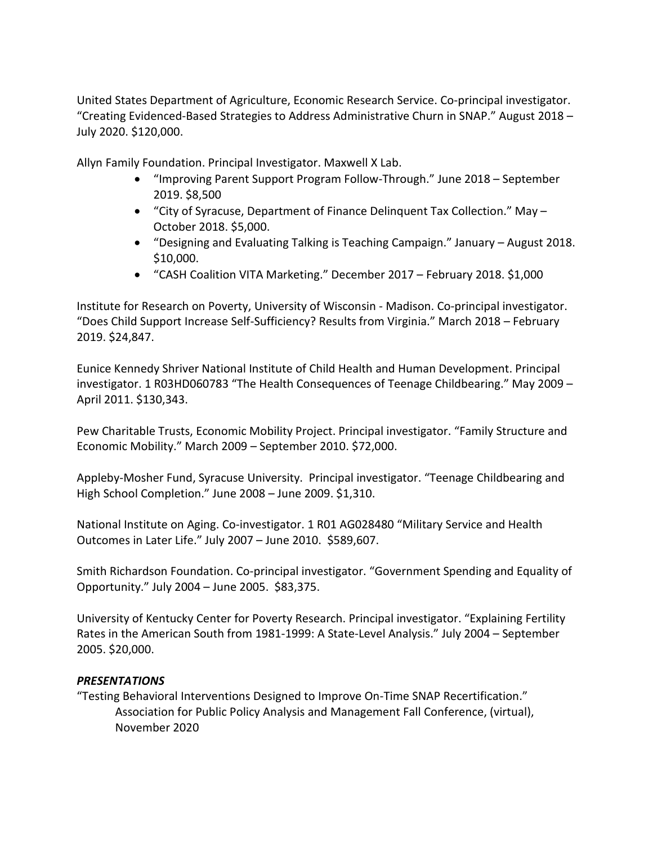United States Department of Agriculture, Economic Research Service. Co-principal investigator. "Creating Evidenced-Based Strategies to Address Administrative Churn in SNAP." August 2018 – July 2020. \$120,000.

Allyn Family Foundation. Principal Investigator. Maxwell X Lab.

- "Improving Parent Support Program Follow-Through." June 2018 September 2019. \$8,500
- "City of Syracuse, Department of Finance Delinquent Tax Collection." May October 2018. \$5,000.
- "Designing and Evaluating Talking is Teaching Campaign." January August 2018. \$10,000.
- "CASH Coalition VITA Marketing." December 2017 February 2018. \$1,000

Institute for Research on Poverty, University of Wisconsin - Madison. Co-principal investigator. "Does Child Support Increase Self-Sufficiency? Results from Virginia." March 2018 – February 2019. \$24,847.

Eunice Kennedy Shriver National Institute of Child Health and Human Development. Principal investigator. 1 R03HD060783 "The Health Consequences of Teenage Childbearing." May 2009 – April 2011. \$130,343.

Pew Charitable Trusts, Economic Mobility Project. Principal investigator. "Family Structure and Economic Mobility." March 2009 – September 2010. \$72,000.

Appleby-Mosher Fund, Syracuse University. Principal investigator. "Teenage Childbearing and High School Completion." June 2008 – June 2009. \$1,310.

National Institute on Aging. Co-investigator. 1 R01 AG028480 "Military Service and Health Outcomes in Later Life." July 2007 – June 2010. \$589,607.

Smith Richardson Foundation. Co-principal investigator. "Government Spending and Equality of Opportunity." July 2004 – June 2005. \$83,375.

University of Kentucky Center for Poverty Research. Principal investigator. "Explaining Fertility Rates in the American South from 1981-1999: A State-Level Analysis." July 2004 – September 2005. \$20,000.

## *PRESENTATIONS*

"Testing Behavioral Interventions Designed to Improve On-Time SNAP Recertification." Association for Public Policy Analysis and Management Fall Conference, (virtual), November 2020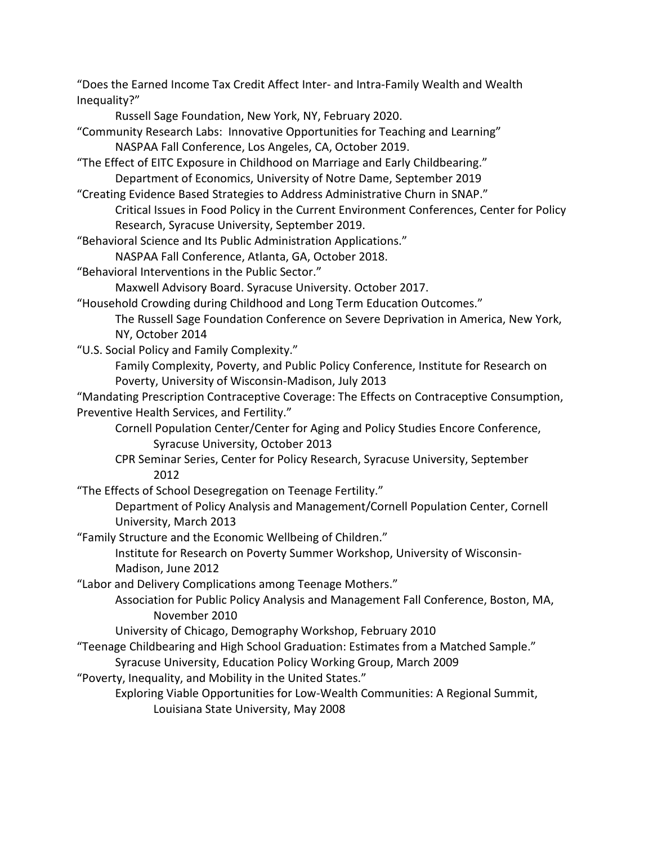"Does the Earned Income Tax Credit Affect Inter- and Intra-Family Wealth and Wealth Inequality?"

Russell Sage Foundation, New York, NY, February 2020.

- "Community Research Labs: Innovative Opportunities for Teaching and Learning" NASPAA Fall Conference, Los Angeles, CA, October 2019.
- "The Effect of EITC Exposure in Childhood on Marriage and Early Childbearing." Department of Economics, University of Notre Dame, September 2019
- "Creating Evidence Based Strategies to Address Administrative Churn in SNAP."

Critical Issues in Food Policy in the Current Environment Conferences, Center for Policy Research, Syracuse University, September 2019.

"Behavioral Science and Its Public Administration Applications."

NASPAA Fall Conference, Atlanta, GA, October 2018.

"Behavioral Interventions in the Public Sector."

Maxwell Advisory Board. Syracuse University. October 2017.

"Household Crowding during Childhood and Long Term Education Outcomes."

The Russell Sage Foundation Conference on Severe Deprivation in America, New York, NY, October 2014

"U.S. Social Policy and Family Complexity."

Family Complexity, Poverty, and Public Policy Conference, Institute for Research on Poverty, University of Wisconsin-Madison, July 2013

"Mandating Prescription Contraceptive Coverage: The Effects on Contraceptive Consumption, Preventive Health Services, and Fertility."

Cornell Population Center/Center for Aging and Policy Studies Encore Conference, Syracuse University, October 2013

CPR Seminar Series, Center for Policy Research, Syracuse University, September 2012

"The Effects of School Desegregation on Teenage Fertility."

Department of Policy Analysis and Management/Cornell Population Center, Cornell University, March 2013

"Family Structure and the Economic Wellbeing of Children."

Institute for Research on Poverty Summer Workshop, University of Wisconsin-Madison, June 2012

"Labor and Delivery Complications among Teenage Mothers."

Association for Public Policy Analysis and Management Fall Conference, Boston, MA, November 2010

University of Chicago, Demography Workshop, February 2010

"Teenage Childbearing and High School Graduation: Estimates from a Matched Sample."

Syracuse University, Education Policy Working Group, March 2009

"Poverty, Inequality, and Mobility in the United States."

Exploring Viable Opportunities for Low-Wealth Communities: A Regional Summit, Louisiana State University, May 2008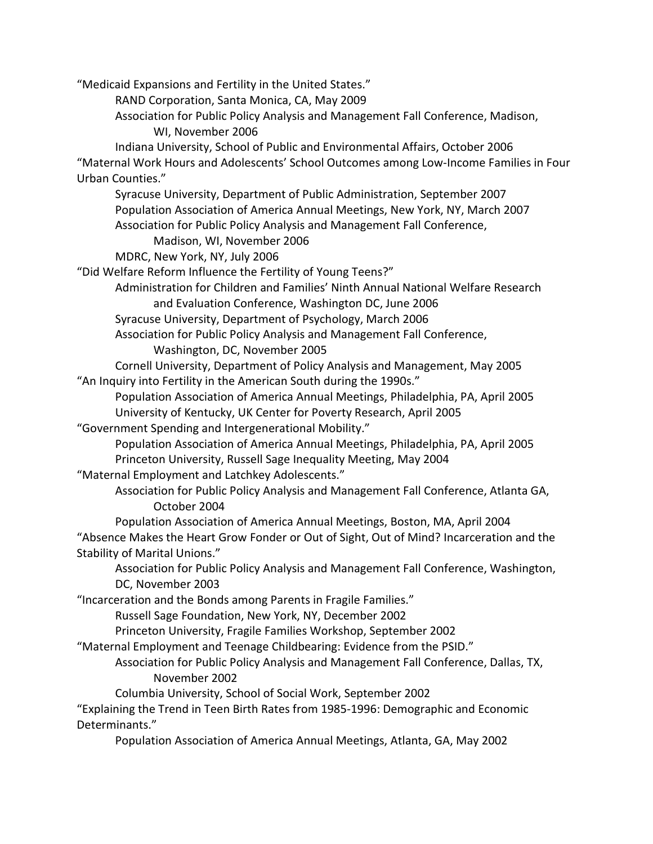"Medicaid Expansions and Fertility in the United States."

RAND Corporation, Santa Monica, CA, May 2009

Association for Public Policy Analysis and Management Fall Conference, Madison,

WI, November 2006

Indiana University, School of Public and Environmental Affairs, October 2006 "Maternal Work Hours and Adolescents' School Outcomes among Low-Income Families in Four Urban Counties."

Syracuse University, Department of Public Administration, September 2007 Population Association of America Annual Meetings, New York, NY, March 2007 Association for Public Policy Analysis and Management Fall Conference,

Madison, WI, November 2006

MDRC, New York, NY, July 2006

"Did Welfare Reform Influence the Fertility of Young Teens?"

Administration for Children and Families' Ninth Annual National Welfare Research and Evaluation Conference, Washington DC, June 2006

Syracuse University, Department of Psychology, March 2006

Association for Public Policy Analysis and Management Fall Conference, Washington, DC, November 2005

Cornell University, Department of Policy Analysis and Management, May 2005 "An Inquiry into Fertility in the American South during the 1990s."

Population Association of America Annual Meetings, Philadelphia, PA, April 2005 University of Kentucky, UK Center for Poverty Research, April 2005

"Government Spending and Intergenerational Mobility."

Population Association of America Annual Meetings, Philadelphia, PA, April 2005 Princeton University, Russell Sage Inequality Meeting, May 2004

"Maternal Employment and Latchkey Adolescents."

Association for Public Policy Analysis and Management Fall Conference, Atlanta GA, October 2004

Population Association of America Annual Meetings, Boston, MA, April 2004 "Absence Makes the Heart Grow Fonder or Out of Sight, Out of Mind? Incarceration and the Stability of Marital Unions."

Association for Public Policy Analysis and Management Fall Conference, Washington, DC, November 2003

"Incarceration and the Bonds among Parents in Fragile Families."

Russell Sage Foundation, New York, NY, December 2002

Princeton University, Fragile Families Workshop, September 2002

"Maternal Employment and Teenage Childbearing: Evidence from the PSID."

# Association for Public Policy Analysis and Management Fall Conference, Dallas, TX, November 2002

Columbia University, School of Social Work, September 2002

"Explaining the Trend in Teen Birth Rates from 1985-1996: Demographic and Economic Determinants."

Population Association of America Annual Meetings, Atlanta, GA, May 2002